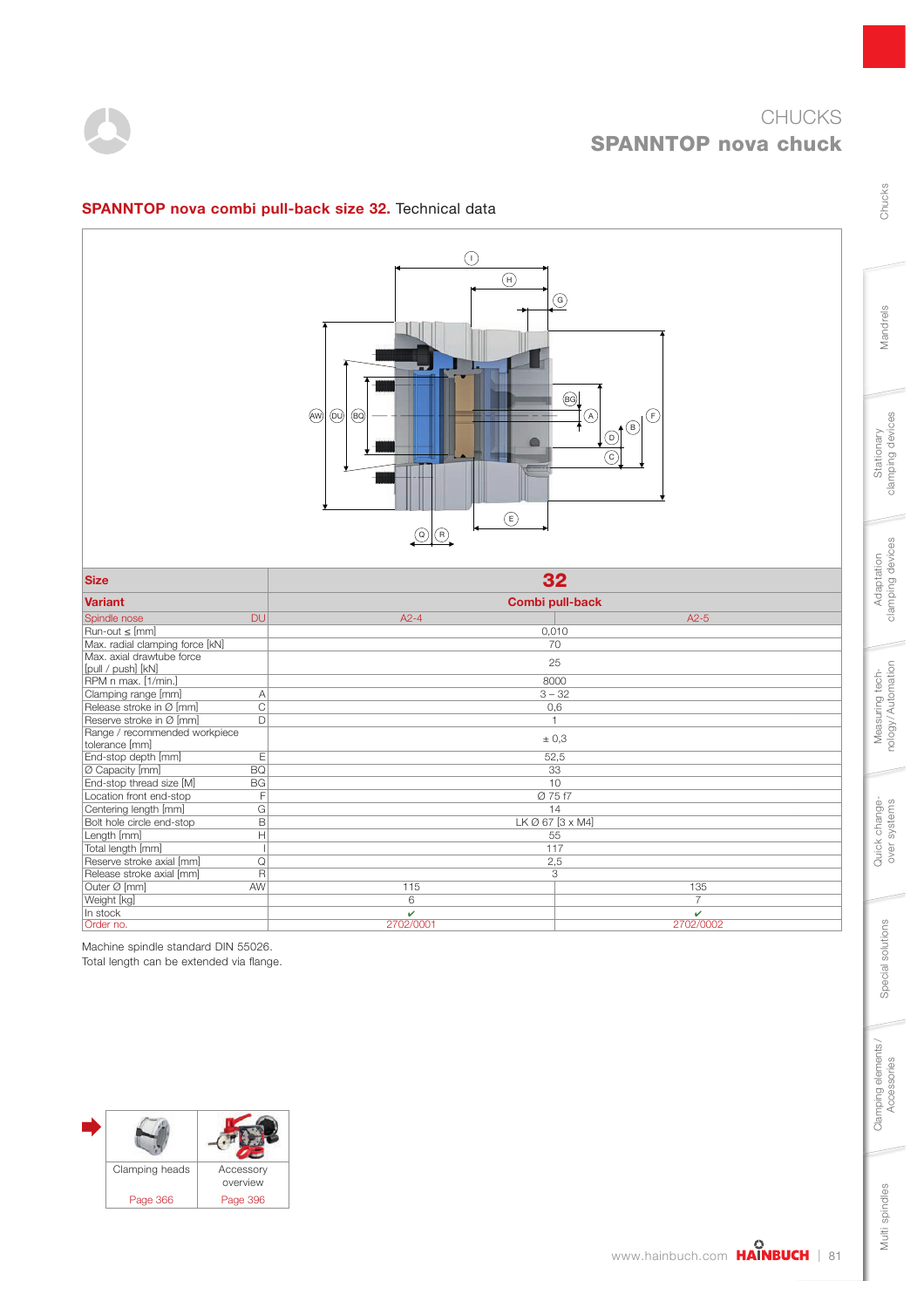

|                                            |                         | $\odot$<br>$\binom{4}{1}$<br>$\widehat{(}$<br>$\circledcirc$<br>$\circledR$<br>$\left(\mathsf{E}\right)$<br>$\circledcirc$<br>$\odot$ | $\odot$<br>$\circledcirc$<br>$\circledR$<br>(F)<br>∔®<br>$\circledcirc$<br>$\overline{C}$ |
|--------------------------------------------|-------------------------|---------------------------------------------------------------------------------------------------------------------------------------|-------------------------------------------------------------------------------------------|
| <b>Size</b>                                |                         | 32                                                                                                                                    |                                                                                           |
| <b>Variant</b>                             |                         | Combi pull-back                                                                                                                       |                                                                                           |
| Spindle nose                               | <b>DU</b>               | $A2-4$                                                                                                                                | $A2-5$                                                                                    |
| Run-out ≤ [mm]                             |                         | 0,010                                                                                                                                 |                                                                                           |
| Max. radial clamping force [kN]            |                         | 70                                                                                                                                    |                                                                                           |
| Max. axial drawtube force                  |                         |                                                                                                                                       |                                                                                           |
|                                            |                         |                                                                                                                                       |                                                                                           |
|                                            |                         | 25                                                                                                                                    |                                                                                           |
| [pull / push] [kN]                         |                         | 8000                                                                                                                                  |                                                                                           |
| RPM n max. [1/min.]<br>Clamping range [mm] | $\mathsf{A}$            | $3 - 32$                                                                                                                              |                                                                                           |
| Release stroke in Ø [mm]                   | $\overline{C}$          | 0,6                                                                                                                                   |                                                                                           |
| Reserve stroke in Ø [mm]                   | D                       | $\mathbf{1}$                                                                                                                          |                                                                                           |
| Range / recommended workpiece              |                         |                                                                                                                                       |                                                                                           |
| tolerance [mm]                             |                         | $\pm$ 0,3                                                                                                                             |                                                                                           |
| End-stop depth [mm]                        | E                       | 52,5                                                                                                                                  |                                                                                           |
| Ø Capacity [mm]                            | BQ                      | 33                                                                                                                                    |                                                                                           |
| End-stop thread size [M]                   | <b>BG</b>               | 10                                                                                                                                    |                                                                                           |
| Location front end-stop                    | F                       | Ø 75 f7                                                                                                                               |                                                                                           |
| Centering length [mm]                      | $\overline{G}$          | 14                                                                                                                                    |                                                                                           |
| Bolt hole circle end-stop                  | $\overline{B}$          | LK Ø 67 [3 x M4]                                                                                                                      |                                                                                           |
| Length [mm]                                | H                       | 55                                                                                                                                    |                                                                                           |
| Total length [mm]                          | $\mathbf{I}$            | 117                                                                                                                                   |                                                                                           |
| Reserve stroke axial [mm]                  | $\overline{Q}$          | 2,5                                                                                                                                   |                                                                                           |
| Release stroke axial [mm]                  | $\overline{\mathsf{R}}$ | 3                                                                                                                                     |                                                                                           |
| Outer Ø [mm]                               | AW                      | 115                                                                                                                                   | 135                                                                                       |
| Weight [kg]<br>In stock                    |                         | $6\overline{6}$<br>v                                                                                                                  | $\overline{7}$<br>v                                                                       |

### SPANNTOP nova combi pull-back size 32. Technical data

Machine spindle standard DIN 55026. Total length can be extended via flange.



Mandrels

Chucks

Multi spindles

Multi spindles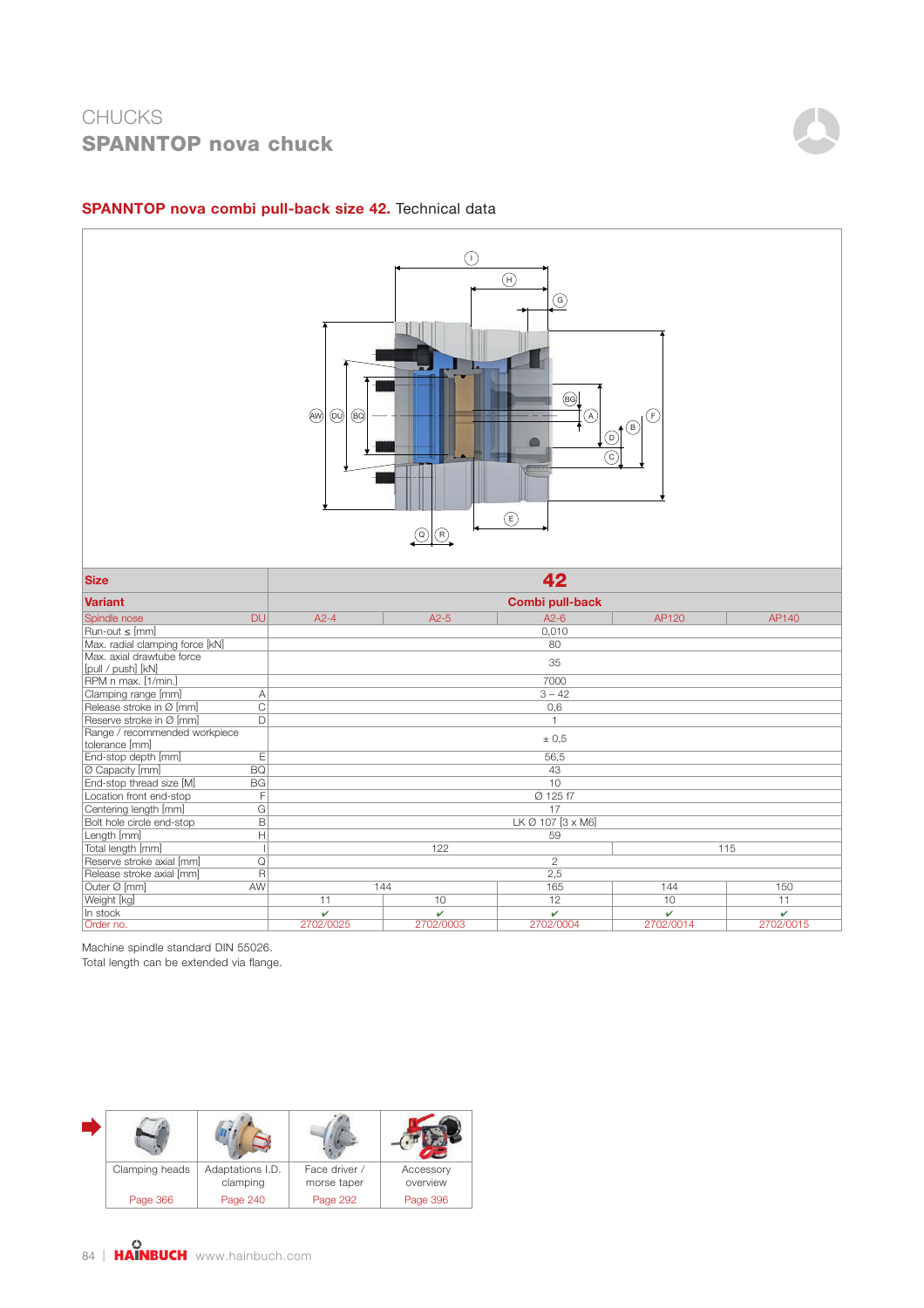

Order no. 2702/0025 2702/0003 2702/0004 2702/0014 2702/0015

### SPANNTOP nova combi pull-back size 42. Technical data

Machine spindle standard DIN 55026.

Total length can be extended via flange.

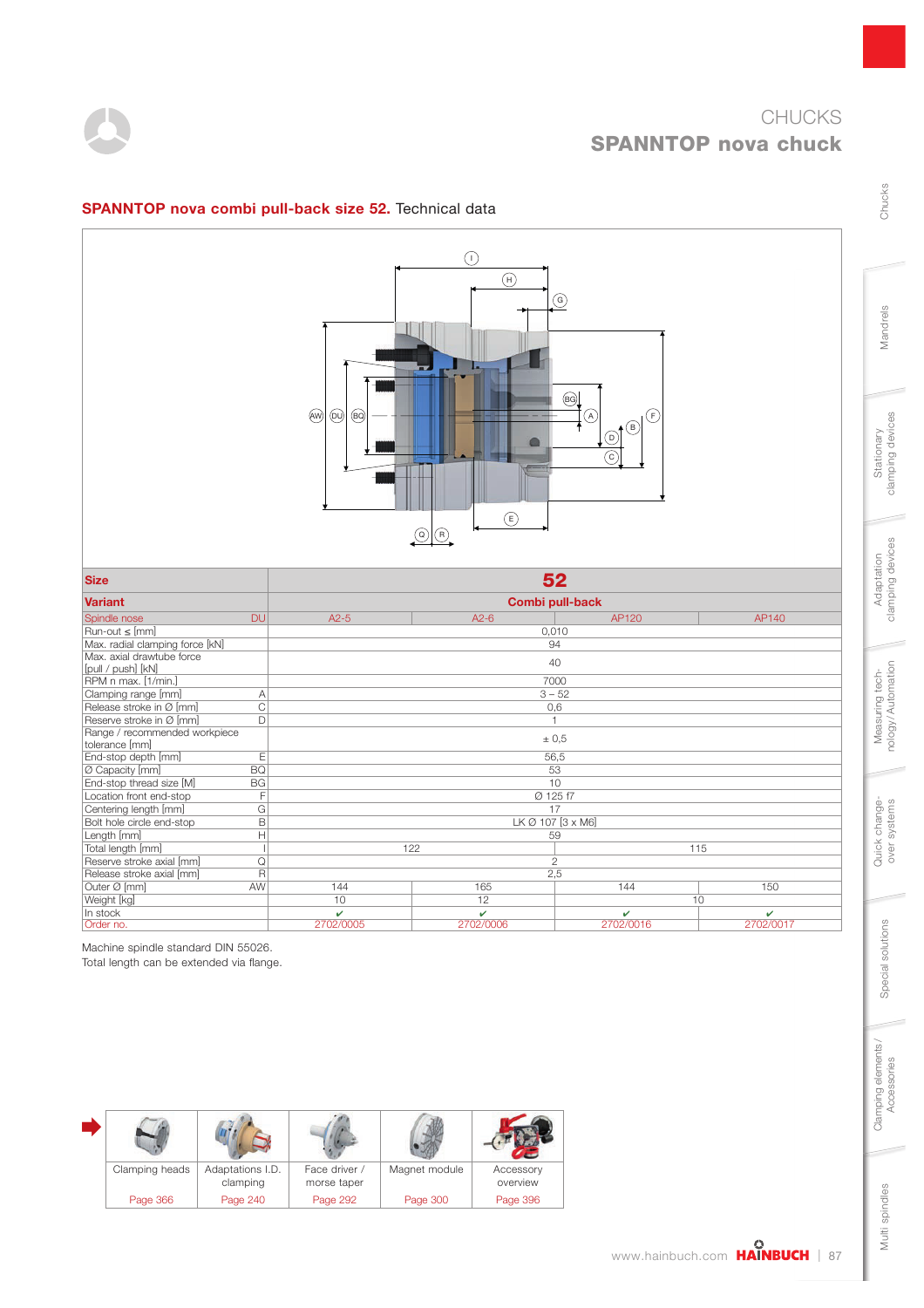



#### SPANNTOP nova combi pull-back size 52. Technical data

| <b>Size</b>                     | 52              |                          |                        |     |  |  |  |  |
|---------------------------------|-----------------|--------------------------|------------------------|-----|--|--|--|--|
| <b>Variant</b>                  | Combi pull-back |                          |                        |     |  |  |  |  |
| <b>DU</b><br>Spindle nose       | $A2-5$          | $A2-6$<br>AP140<br>AP120 |                        |     |  |  |  |  |
| $Run-out \leq [mm]$             |                 | 0,010                    |                        |     |  |  |  |  |
| Max. radial clamping force [kN] |                 | 94                       |                        |     |  |  |  |  |
| Max. axial drawtube force       |                 | 40                       |                        |     |  |  |  |  |
| [pull / push] [kN]              |                 |                          |                        |     |  |  |  |  |
| RPM n max. [1/min.]             |                 | 7000                     |                        |     |  |  |  |  |
| Clamping range [mm]<br>Α        |                 | $3 - 52$                 |                        |     |  |  |  |  |
| C<br>Release stroke in Ø [mm]   |                 | 0,6                      |                        |     |  |  |  |  |
| Reserve stroke in Ø [mm]<br>D   |                 |                          |                        |     |  |  |  |  |
| Range / recommended workpiece   |                 | ± 0.5                    |                        |     |  |  |  |  |
| tolerance [mm]                  |                 |                          |                        |     |  |  |  |  |
| E<br>End-stop depth [mm]        |                 | 56,5                     |                        |     |  |  |  |  |
| <b>BQ</b><br>Ø Capacity [mm]    |                 | 53                       |                        |     |  |  |  |  |
| End-stop thread size [M]<br>BG  |                 | 10                       |                        |     |  |  |  |  |
| Location front end-stop<br>F    |                 | Ø 125 f7                 |                        |     |  |  |  |  |
| Centering length [mm]<br>G      |                 | 17                       |                        |     |  |  |  |  |
| Bolt hole circle end-stop<br>B  |                 | LK Ø 107 [3 x M6]        |                        |     |  |  |  |  |
| Length [mm]<br>Н                |                 | 59                       |                        |     |  |  |  |  |
| Total length [mm]               | 122             |                          |                        | 115 |  |  |  |  |
| Reserve stroke axial [mm]<br>Q  |                 | $\mathbf{2}$             |                        |     |  |  |  |  |
| Release stroke axial [mm]<br>R  |                 | 2,5                      |                        |     |  |  |  |  |
| Outer Ø [mm]<br>AW              | 144             | 165                      | 144                    | 150 |  |  |  |  |
| Weight [kg]                     | 10              | 12                       |                        | 10  |  |  |  |  |
| In stock                        | ✓               | v                        | v                      | v   |  |  |  |  |
| Order no.                       | 2702/0005       | 2702/0006                | 2702/0016<br>2702/0017 |     |  |  |  |  |

Machine spindle standard DIN 55026. Total length can be extended via flange.

| Clamping heads | Adaptations I.D.<br>clamping | Face driver /<br>morse taper | Magnet module | Accessory<br>overview |  |
|----------------|------------------------------|------------------------------|---------------|-----------------------|--|
| Page 366       | Page 240                     | Page 292                     | Page 300      | Page 396              |  |

Mandrels

Chucks

Multi spindles

Multi spindles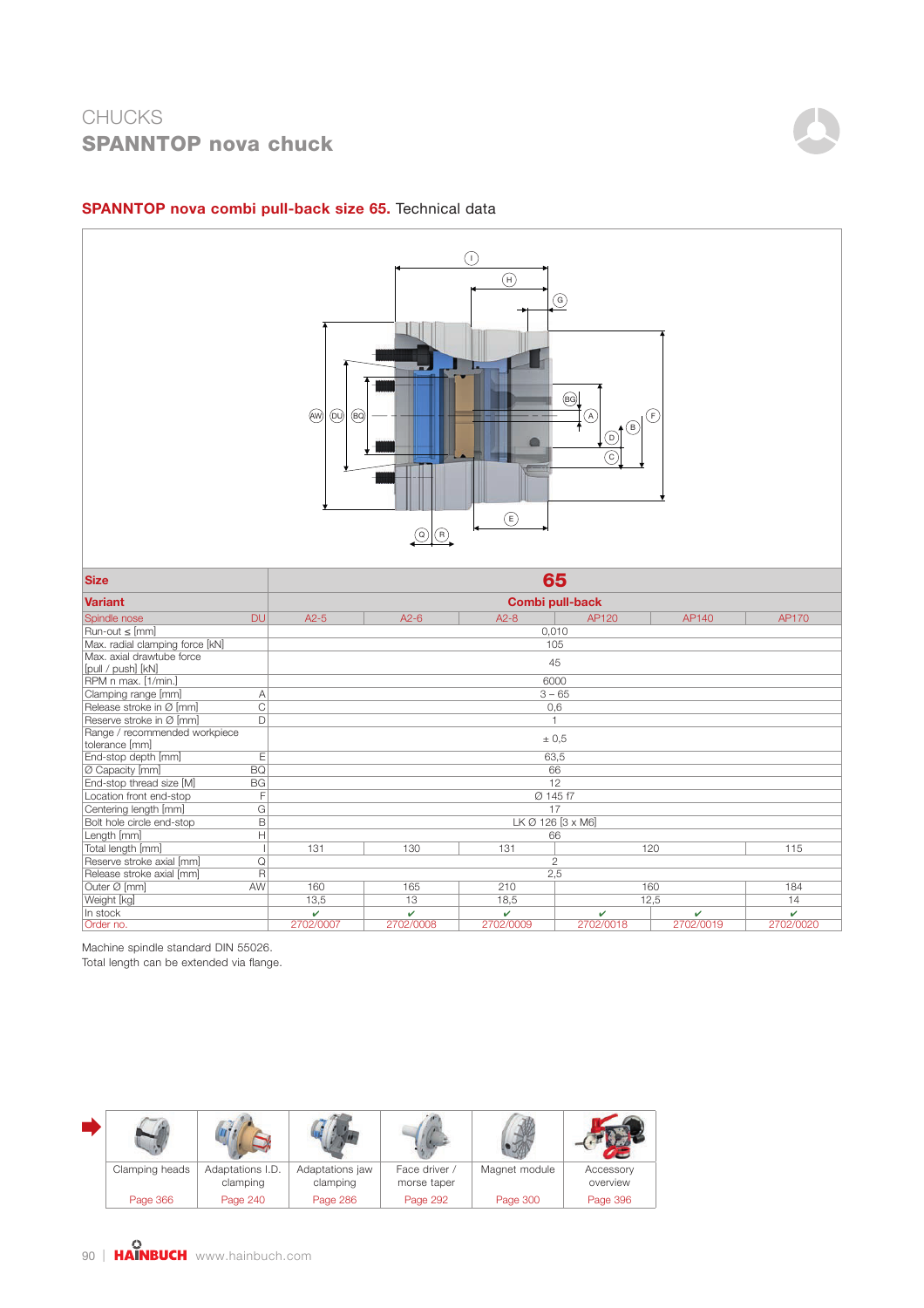

Outer Ø [mm] AW | 160 | 165 | 210 | 160 184 Weight [kg] | 13,5 | 13 | 18,5 | 12,5 14 In stock the contract of the contract of the contract of the contract of the contract of the contract of the contract of the contract of the contract of the contract of the contract of the contract of the contract of the Order no. 2702/0007 2702/0008 2702/0009 2702/0018 2702/0019 2702/0020

#### SPANNTOP nova combi pull-back size 65. Technical data

Machine spindle standard DIN 55026.

Total length can be extended via flange.

| Clamping heads | Adaptations I.D.<br>clamping | Adaptations jaw<br>clamping | Face driver /<br>morse taper | Magnet module | Accessory<br>overview |
|----------------|------------------------------|-----------------------------|------------------------------|---------------|-----------------------|
| Page 366       | Page 240                     | Page 286                    | Page 292                     | Page 300      | Page 396              |

Reserve stroke axial [mm] Q 2<br>
Release stroke axial [mm] R 2 Release stroke axial [mm]  $R$   $R$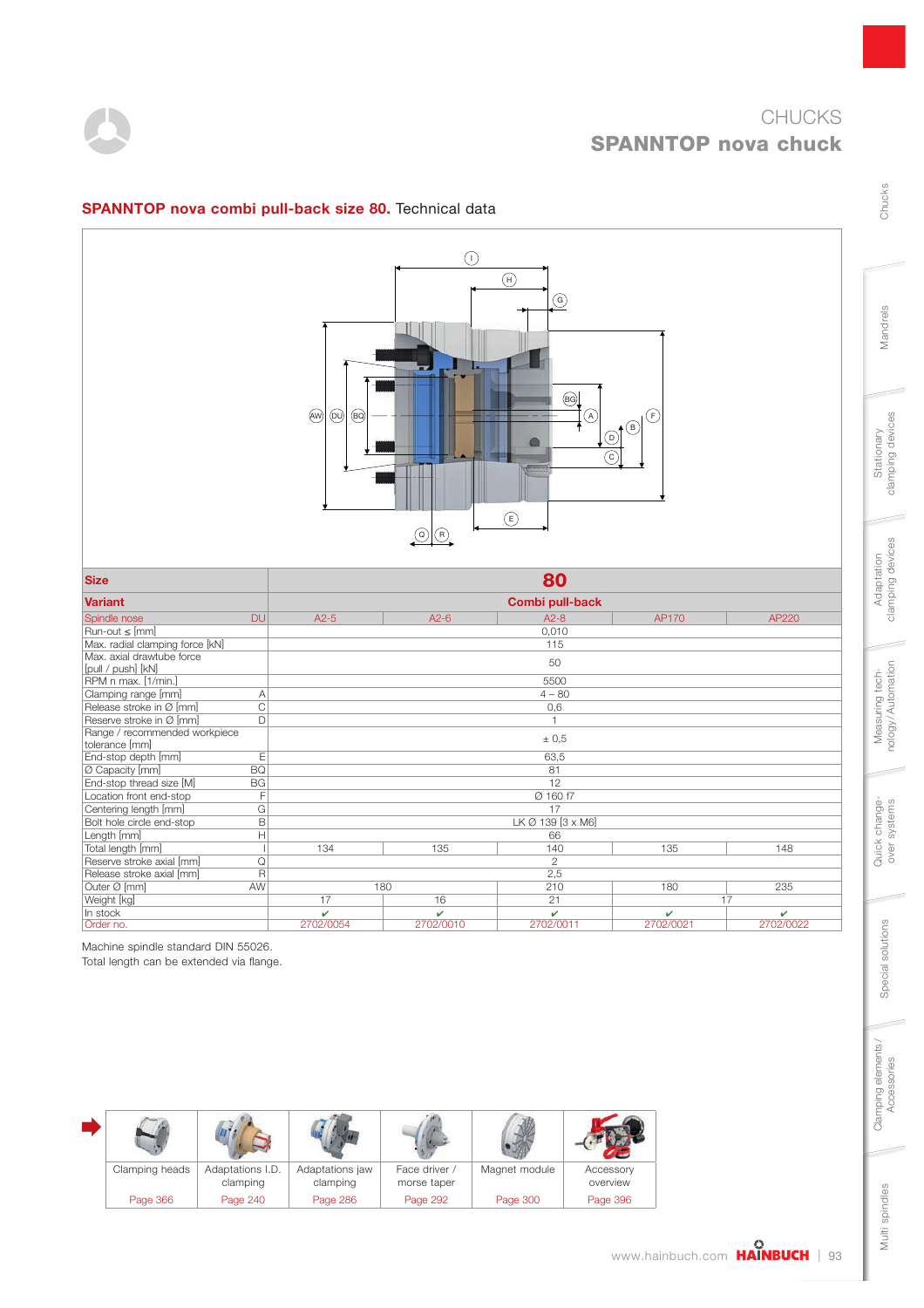

Chucks

Mandrels

Stationary<br>clamping devices

Adaptation<br>clamping devices

Measuring tech-<br>nology/Automation

Quick change-<br>over systems

Special solutions

Special solutions

Clamping elements/<br>Accessories



### SPANNTOP nova combi pull-back size 80. Technical data

| <b>Size</b>                                     |                 |           | 80                |           |           |
|-------------------------------------------------|-----------------|-----------|-------------------|-----------|-----------|
| <b>Variant</b>                                  | Combi pull-back |           |                   |           |           |
| <b>DU</b><br>Spindle nose                       | $A2-5$          | $A2-6$    | $A2 - 8$          | AP170     | AP220     |
| $Run-out \leq [mm]$                             |                 |           | 0,010             |           |           |
| Max. radial clamping force [kN]                 |                 |           | 115               |           |           |
| Max. axial drawtube force<br>[pull / push] [kN] |                 |           | 50                |           |           |
| RPM n max. [1/min.]                             |                 |           | 5500              |           |           |
| Clamping range [mm]<br>Α                        |                 |           | $4 - 80$          |           |           |
| C<br>Release stroke in Ø [mm]                   |                 |           | 0,6               |           |           |
| Reserve stroke in Ø [mm]<br>D                   |                 |           | $\overline{1}$    |           |           |
| Range / recommended workpiece<br>tolerance [mm] |                 |           | ± 0.5             |           |           |
| E<br>End-stop depth [mm]                        |                 |           | 63,5              |           |           |
| <b>BO</b><br>Ø Capacity [mm]                    |                 |           | 81                |           |           |
| End-stop thread size [M]<br><b>BG</b>           |                 |           | 12                |           |           |
| Location front end-stop<br>F                    |                 |           | Ø 160 f7          |           |           |
| G<br>Centering length [mm]                      |                 |           | 17                |           |           |
| B<br>Bolt hole circle end-stop                  |                 |           | LK Ø 139 [3 x M6] |           |           |
| Length [mm]<br>Н                                |                 |           | 66                |           |           |
| Total length [mm]                               | 134             | 135       | 140               | 135       | 148       |
| Reserve stroke axial [mm]<br>Q                  |                 |           | $\overline{2}$    |           |           |
| Release stroke axial [mm]<br>$\overline{R}$     |                 |           | 2,5               |           |           |
| Outer Ø [mm]<br>AW                              |                 | 180       | 210               | 180       | 235       |
| Weight [kg]                                     | 17              | 16        | 21                | 17        |           |
| In stock                                        | v               | v         | v                 | v         | v         |
| Order no.                                       | 2702/0054       | 2702/0010 | 2702/0011         | 2702/0021 | 2702/0022 |

Machine spindle standard DIN 55026.

Total length can be extended via flange.

| Clamping heads | Adaptations I.D.<br>clamping | Adaptations jaw<br>clamping | Face driver /<br>morse taper | Magnet module | Accessory<br>overview |
|----------------|------------------------------|-----------------------------|------------------------------|---------------|-----------------------|
| Page 366       | Page 240                     | Page 286                    | Page 292                     | Page 300      | Page 396              |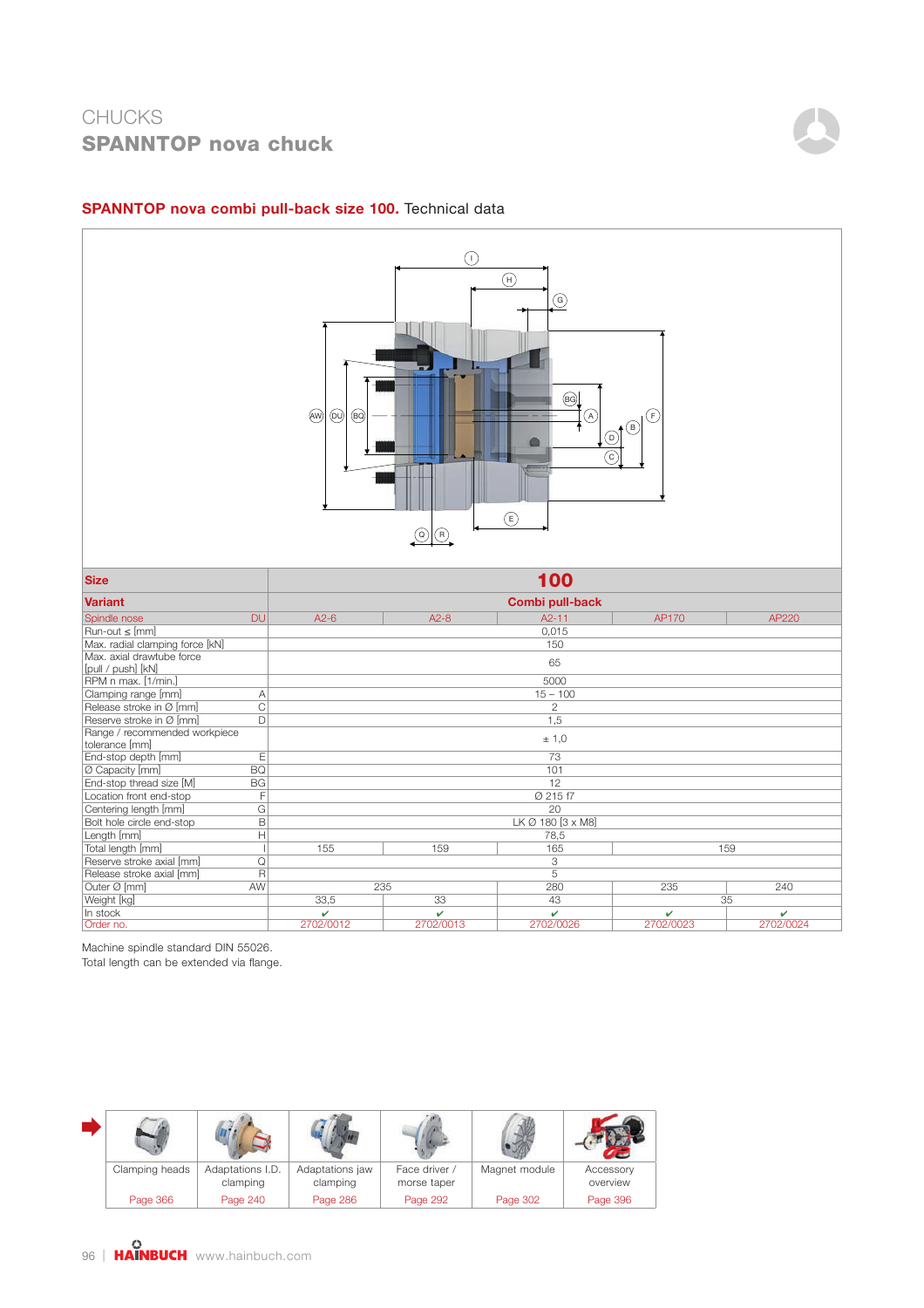

#### SPANNTOP nova combi pull-back size 100. Technical data

Outer Ø [mm] AW 235 280 235 240 Weight [kg] 33,5 33 43 35 In stock  $\checkmark$  , we have the following the following  $\checkmark$  , we have the following the following  $\checkmark$ Order no. 2702/0012 2702/0013 2702/0026 2702/0023 2702/0024

Reserve stroke axial [mm] Q 3 Release stroke axial [mm]  $R$   $R$  5

Machine spindle standard DIN 55026. Total length can be extended via flange.

| Clamping heads | Adaptations I.D.<br>clamping | Adaptations jaw<br>clamping | Face driver /<br>morse taper | Magnet module | Accessory<br>overview |
|----------------|------------------------------|-----------------------------|------------------------------|---------------|-----------------------|
| Page 366       | Page 240                     | Page 286                    | Page 292                     | Page 302      | Page 396              |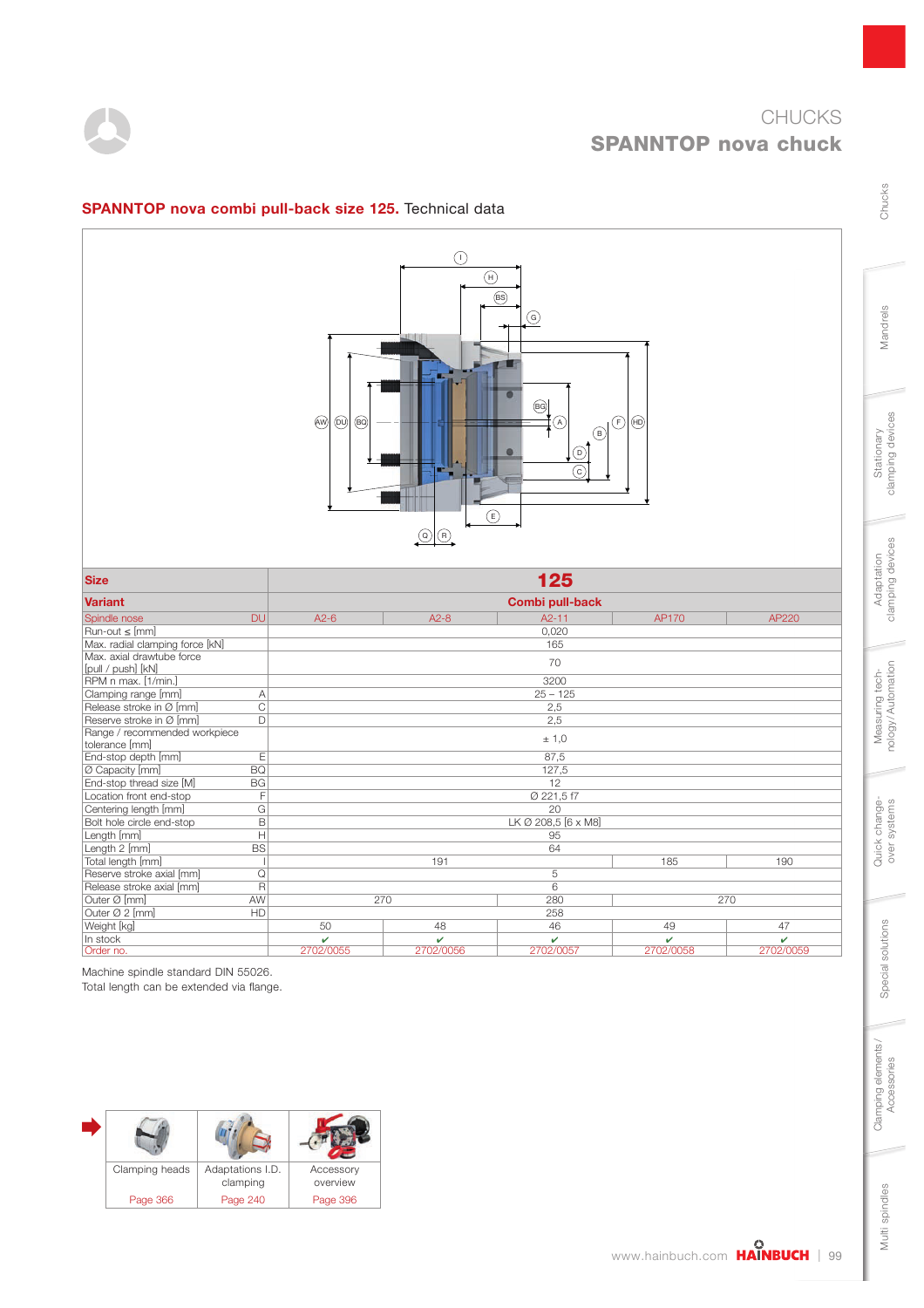



## SPANNTOP nova combi pull-back size 125. Technical data



| <b>Size</b>                              | 125       |                   |                        |           |           |
|------------------------------------------|-----------|-------------------|------------------------|-----------|-----------|
| <b>Variant</b>                           |           |                   | <b>Combi pull-back</b> |           |           |
| <b>DU</b><br>Spindle nose                | $A2-6$    | $A2-8$            | $A2 - 11$              | AP170     | AP220     |
| Run-out ≤ [mm]                           |           |                   | 0.020                  |           |           |
| Max. radial clamping force [kN]          |           |                   | 165                    |           |           |
| Max, axial drawtube force                |           |                   | 70                     |           |           |
| [pull / push] [kN]                       |           |                   |                        |           |           |
| RPM n max. [1/min.]                      |           |                   | 3200                   |           |           |
| Clamping range [mm]<br>$\overline{A}$    |           |                   | $25 - 125$             |           |           |
| $\mathsf{C}$<br>Release stroke in Ø [mm] |           |                   | 2,5                    |           |           |
| Reserve stroke in Ø [mm]<br>D            |           |                   | 2,5                    |           |           |
| Range / recommended workpiece            |           |                   | ± 1,0                  |           |           |
| tolerance [mm]                           |           |                   |                        |           |           |
| End-stop depth [mm]<br>E                 |           |                   | 87,5                   |           |           |
| Ø Capacity [mm]<br><b>BQ</b>             |           |                   | 127,5                  |           |           |
| End-stop thread size [M]<br><b>BG</b>    |           |                   | 12                     |           |           |
| Location front end-stop                  | F         |                   | Ø 221,5f7              |           |           |
| G<br>Centering length [mm]               |           |                   | 20                     |           |           |
| B<br>Bolt hole circle end-stop           |           |                   | LK Ø 208,5 [6 x M8]    |           |           |
| $\mathsf{H}$<br>Length [mm]              |           |                   | 95                     |           |           |
| Length 2 [mm]<br><b>BS</b>               |           |                   | 64                     |           |           |
| Total length [mm]                        |           | 191               |                        | 185       | 190       |
| Reserve stroke axial [mm]<br>Q           |           |                   | 5                      |           |           |
| Release stroke axial [mm]<br>R           |           |                   | 6                      |           |           |
| Outer Ø [mm]<br>AW                       |           | 270<br>280<br>270 |                        |           |           |
| Outer Ø 2 [mm]<br>HD                     |           |                   | 258                    |           |           |
| Weight [kg]                              | 50        | 48                | 46                     | 49        | 47        |
| In stock                                 | v         | v                 | v                      | v         | v         |
| Order no.                                | 2702/0055 | 2702/0056         | 2702/0057              | 2702/0058 | 2702/0059 |

Machine spindle standard DIN 55026.

Total length can be extended via flange.



Chucks

Mandrels

Stationary<br>clamping devices

Adaptation<br>clamping devices

Measuring tech-<br>nology/Automation